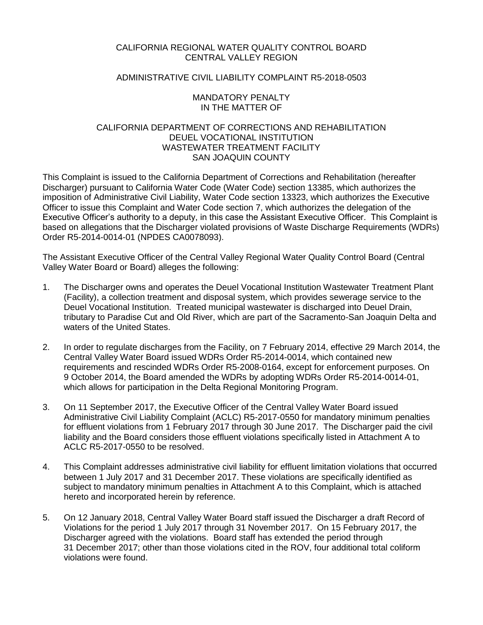## CALIFORNIA REGIONAL WATER QUALITY CONTROL BOARD CENTRAL VALLEY REGION

## ADMINISTRATIVE CIVIL LIABILITY COMPLAINT R5-2018-0503

## MANDATORY PENALTY IN THE MATTER OF

## CALIFORNIA DEPARTMENT OF CORRECTIONS AND REHABILITATION DEUEL VOCATIONAL INSTITUTION WASTEWATER TREATMENT FACILITY SAN JOAQUIN COUNTY

This Complaint is issued to the California Department of Corrections and Rehabilitation (hereafter Discharger) pursuant to California Water Code (Water Code) section 13385, which authorizes the imposition of Administrative Civil Liability, Water Code section 13323, which authorizes the Executive Officer to issue this Complaint and Water Code section 7, which authorizes the delegation of the Executive Officer's authority to a deputy, in this case the Assistant Executive Officer. This Complaint is based on allegations that the Discharger violated provisions of Waste Discharge Requirements (WDRs) Order R5-2014-0014-01 (NPDES CA0078093).

The Assistant Executive Officer of the Central Valley Regional Water Quality Control Board (Central Valley Water Board or Board) alleges the following:

- 1. The Discharger owns and operates the Deuel Vocational Institution Wastewater Treatment Plant (Facility), a collection treatment and disposal system, which provides sewerage service to the Deuel Vocational Institution. Treated municipal wastewater is discharged into Deuel Drain, tributary to Paradise Cut and Old River, which are part of the Sacramento-San Joaquin Delta and waters of the United States.
- 2. In order to regulate discharges from the Facility, on 7 February 2014, effective 29 March 2014, the Central Valley Water Board issued WDRs Order R5-2014-0014, which contained new requirements and rescinded WDRs Order R5-2008-0164, except for enforcement purposes. On 9 October 2014, the Board amended the WDRs by adopting WDRs Order R5-2014-0014-01, which allows for participation in the Delta Regional Monitoring Program.
- 3. On 11 September 2017, the Executive Officer of the Central Valley Water Board issued Administrative Civil Liability Complaint (ACLC) R5-2017-0550 for mandatory minimum penalties for effluent violations from 1 February 2017 through 30 June 2017. The Discharger paid the civil liability and the Board considers those effluent violations specifically listed in Attachment A to ACLC R5-2017-0550 to be resolved.
- 4. This Complaint addresses administrative civil liability for effluent limitation violations that occurred between 1 July 2017 and 31 December 2017. These violations are specifically identified as subject to mandatory minimum penalties in Attachment A to this Complaint, which is attached hereto and incorporated herein by reference.
- 5. On 12 January 2018, Central Valley Water Board staff issued the Discharger a draft Record of Violations for the period 1 July 2017 through 31 November 2017. On 15 February 2017, the Discharger agreed with the violations. Board staff has extended the period through 31 December 2017; other than those violations cited in the ROV, four additional total coliform violations were found.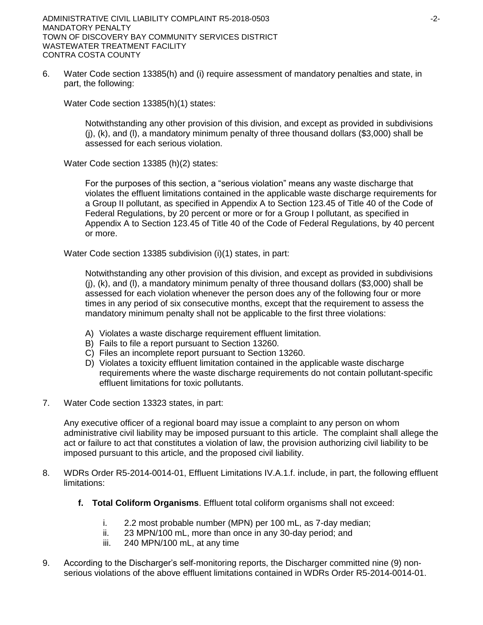6. Water Code section 13385(h) and (i) require assessment of mandatory penalties and state, in part, the following:

Water Code section 13385(h)(1) states:

Notwithstanding any other provision of this division, and except as provided in subdivisions  $(i)$ ,  $(k)$ , and  $(l)$ , a mandatory minimum penalty of three thousand dollars (\$3,000) shall be assessed for each serious violation.

Water Code section 13385 (h)(2) states:

For the purposes of this section, a "serious violation" means any waste discharge that violates the effluent limitations contained in the applicable waste discharge requirements for a Group II pollutant, as specified in Appendix A to Section 123.45 of Title 40 of the Code of Federal Regulations, by 20 percent or more or for a Group I pollutant, as specified in Appendix A to Section 123.45 of Title 40 of the Code of Federal Regulations, by 40 percent or more.

Water Code section 13385 subdivision (i)(1) states, in part:

Notwithstanding any other provision of this division, and except as provided in subdivisions  $(i)$ ,  $(k)$ , and  $(l)$ , a mandatory minimum penalty of three thousand dollars (\$3,000) shall be assessed for each violation whenever the person does any of the following four or more times in any period of six consecutive months, except that the requirement to assess the mandatory minimum penalty shall not be applicable to the first three violations:

- A) Violates a waste discharge requirement effluent limitation.
- B) Fails to file a report pursuant to Section 13260.
- C) Files an incomplete report pursuant to Section 13260.
- D) Violates a toxicity effluent limitation contained in the applicable waste discharge requirements where the waste discharge requirements do not contain pollutant-specific effluent limitations for toxic pollutants.
- 7. Water Code section 13323 states, in part:

Any executive officer of a regional board may issue a complaint to any person on whom administrative civil liability may be imposed pursuant to this article. The complaint shall allege the act or failure to act that constitutes a violation of law, the provision authorizing civil liability to be imposed pursuant to this article, and the proposed civil liability.

- 8. WDRs Order R5-2014-0014-01, Effluent Limitations IV.A.1.f. include, in part, the following effluent limitations:
	- **f. Total Coliform Organisms**. Effluent total coliform organisms shall not exceed:
		- i. 2.2 most probable number (MPN) per 100 mL, as 7-day median;
		- ii. 23 MPN/100 mL, more than once in any 30-day period; and
		- iii. 240 MPN/100 mL, at any time
- 9. According to the Discharger's self-monitoring reports, the Discharger committed nine (9) nonserious violations of the above effluent limitations contained in WDRs Order R5-2014-0014-01.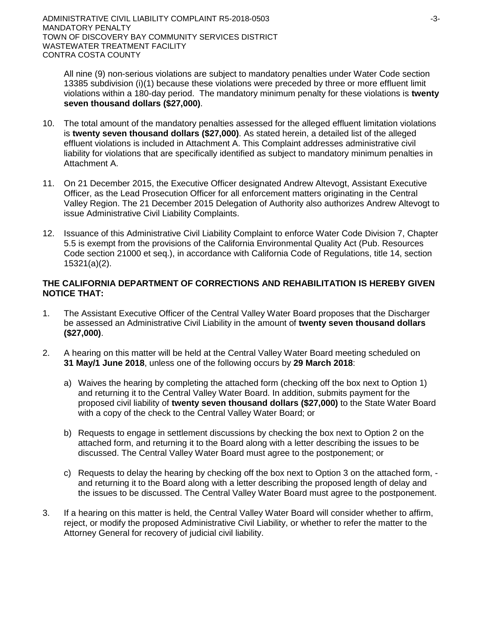All nine (9) non-serious violations are subject to mandatory penalties under Water Code section 13385 subdivision (i)(1) because these violations were preceded by three or more effluent limit violations within a 180-day period. The mandatory minimum penalty for these violations is **twenty seven thousand dollars (\$27,000)**.

- 10. The total amount of the mandatory penalties assessed for the alleged effluent limitation violations is **twenty seven thousand dollars (\$27,000)**. As stated herein, a detailed list of the alleged effluent violations is included in Attachment A. This Complaint addresses administrative civil liability for violations that are specifically identified as subject to mandatory minimum penalties in Attachment A.
- 11. On 21 December 2015, the Executive Officer designated Andrew Altevogt, Assistant Executive Officer, as the Lead Prosecution Officer for all enforcement matters originating in the Central Valley Region. The 21 December 2015 Delegation of Authority also authorizes Andrew Altevogt to issue Administrative Civil Liability Complaints.
- 12. Issuance of this Administrative Civil Liability Complaint to enforce Water Code Division 7, Chapter 5.5 is exempt from the provisions of the California Environmental Quality Act (Pub. Resources Code section 21000 et seq.), in accordance with California Code of Regulations, title 14, section 15321(a)(2).

## **THE CALIFORNIA DEPARTMENT OF CORRECTIONS AND REHABILITATION IS HEREBY GIVEN NOTICE THAT:**

- 1. The Assistant Executive Officer of the Central Valley Water Board proposes that the Discharger be assessed an Administrative Civil Liability in the amount of **twenty seven thousand dollars (\$27,000)**.
- 2. A hearing on this matter will be held at the Central Valley Water Board meeting scheduled on **31 May/1 June 2018**, unless one of the following occurs by **29 March 2018**:
	- a) Waives the hearing by completing the attached form (checking off the box next to Option 1) and returning it to the Central Valley Water Board. In addition, submits payment for the proposed civil liability of **twenty seven thousand dollars (\$27,000)** to the State Water Board with a copy of the check to the Central Valley Water Board; or
	- b) Requests to engage in settlement discussions by checking the box next to Option 2 on the attached form, and returning it to the Board along with a letter describing the issues to be discussed. The Central Valley Water Board must agree to the postponement; or
	- c) Requests to delay the hearing by checking off the box next to Option 3 on the attached form, and returning it to the Board along with a letter describing the proposed length of delay and the issues to be discussed. The Central Valley Water Board must agree to the postponement.
- 3. If a hearing on this matter is held, the Central Valley Water Board will consider whether to affirm, reject, or modify the proposed Administrative Civil Liability, or whether to refer the matter to the Attorney General for recovery of judicial civil liability.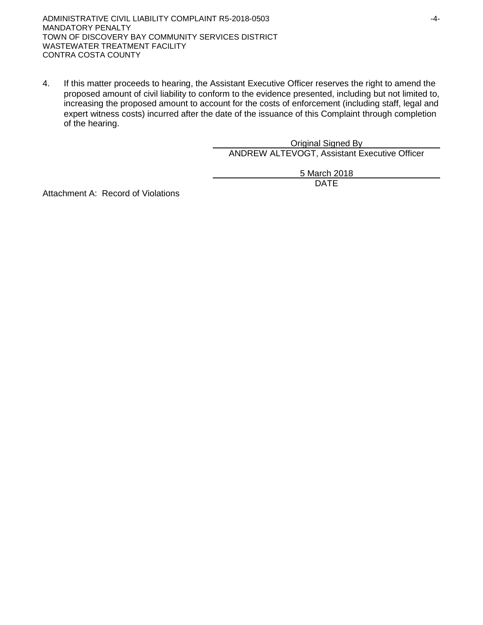ADMINISTRATIVE CIVIL LIABILITY COMPLAINT R5-2018-0503 4-4-MANDATORY PENALTY TOWN OF DISCOVERY BAY COMMUNITY SERVICES DISTRICT WASTEWATER TREATMENT FACILITY CONTRA COSTA COUNTY

4. If this matter proceeds to hearing, the Assistant Executive Officer reserves the right to amend the proposed amount of civil liability to conform to the evidence presented, including but not limited to, increasing the proposed amount to account for the costs of enforcement (including staff, legal and expert witness costs) incurred after the date of the issuance of this Complaint through completion of the hearing.

> Original Signed By ANDREW ALTEVOGT, Assistant Executive Officer

> > 5 March 2018 DATE

Attachment A: Record of Violations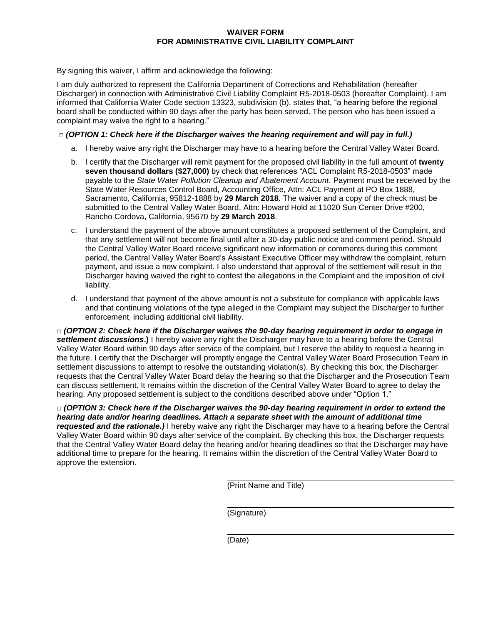#### **WAIVER FORM FOR ADMINISTRATIVE CIVIL LIABILITY COMPLAINT**

By signing this waiver, I affirm and acknowledge the following:

I am duly authorized to represent the California Department of Corrections and Rehabilitation (hereafter Discharger) in connection with Administrative Civil Liability Complaint R5-2018-0503 (hereafter Complaint). I am informed that California Water Code section 13323, subdivision (b), states that, "a hearing before the regional board shall be conducted within 90 days after the party has been served. The person who has been issued a complaint may waive the right to a hearing."

### **□** *(OPTION 1: Check here if the Discharger waives the hearing requirement and will pay in full.)*

- a. I hereby waive any right the Discharger may have to a hearing before the Central Valley Water Board.
- b. I certify that the Discharger will remit payment for the proposed civil liability in the full amount of **twenty seven thousand dollars (\$27,000)** by check that references "ACL Complaint R5-2018-0503" made payable to the *State Water Pollution Cleanup and Abatement Account*. Payment must be received by the State Water Resources Control Board, Accounting Office, Attn: ACL Payment at PO Box 1888, Sacramento, California, 95812-1888 by **29 March 2018**. The waiver and a copy of the check must be submitted to the Central Valley Water Board, Attn: Howard Hold at 11020 Sun Center Drive #200, Rancho Cordova, California, 95670 by **29 March 2018**.
- c. I understand the payment of the above amount constitutes a proposed settlement of the Complaint, and that any settlement will not become final until after a 30-day public notice and comment period. Should the Central Valley Water Board receive significant new information or comments during this comment period, the Central Valley Water Board's Assistant Executive Officer may withdraw the complaint, return payment, and issue a new complaint. I also understand that approval of the settlement will result in the Discharger having waived the right to contest the allegations in the Complaint and the imposition of civil liability.
- d. I understand that payment of the above amount is not a substitute for compliance with applicable laws and that continuing violations of the type alleged in the Complaint may subject the Discharger to further enforcement, including additional civil liability.

**□** *(OPTION 2: Check here if the Discharger waives the 90-day hearing requirement in order to engage in settlement discussions***.)** I hereby waive any right the Discharger may have to a hearing before the Central Valley Water Board within 90 days after service of the complaint, but I reserve the ability to request a hearing in the future. I certify that the Discharger will promptly engage the Central Valley Water Board Prosecution Team in settlement discussions to attempt to resolve the outstanding violation(s). By checking this box, the Discharger requests that the Central Valley Water Board delay the hearing so that the Discharger and the Prosecution Team can discuss settlement. It remains within the discretion of the Central Valley Water Board to agree to delay the hearing. Any proposed settlement is subject to the conditions described above under "Option 1."

**□** *(OPTION 3: Check here if the Discharger waives the 90-day hearing requirement in order to extend the hearing date and/or hearing deadlines. Attach a separate sheet with the amount of additional time requested and the rationale.)* I hereby waive any right the Discharger may have to a hearing before the Central Valley Water Board within 90 days after service of the complaint. By checking this box, the Discharger requests that the Central Valley Water Board delay the hearing and/or hearing deadlines so that the Discharger may have additional time to prepare for the hearing. It remains within the discretion of the Central Valley Water Board to approve the extension.

(Print Name and Title)

(Signature)

(Date)